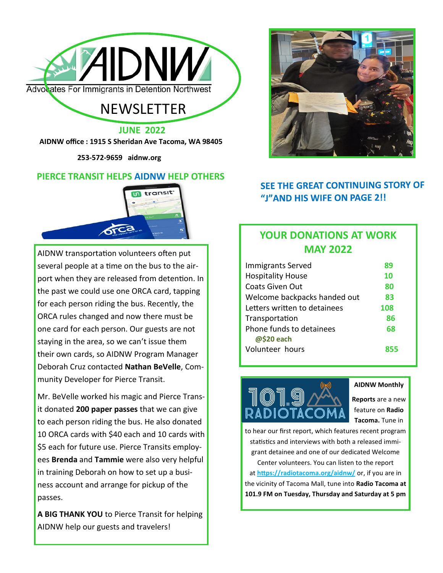

# **NEWSLETTER**

**JUNE 2022**

**AIDNW office : 1915 S Sheridan Ave Tacoma, WA 98405** 

 **253-572-9659 aidnw.org**

### **PIERCE TRANSIT HELPS AIDNW HELP OTHERS**



AIDNW transportation volunteers often put several people at a time on the bus to the airport when they are released from detention. In the past we could use one ORCA card, tapping for each person riding the bus. Recently, the ORCA rules changed and now there must be one card for each person. Our guests are not staying in the area, so we can't issue them their own cards, so AIDNW Program Manager Deborah Cruz contacted **Nathan BeVelle**, Community Developer for Pierce Transit.

Mr. BeVelle worked his magic and Pierce Transit donated **200 paper passes** that we can give to each person riding the bus. He also donated 10 ORCA cards with \$40 each and 10 cards with \$5 each for future use. Pierce Transits employees **Brenda** and **Tammie** were also very helpful in training Deborah on how to set up a business account and arrange for pickup of the passes.

**A BIG THANK YOU** to Pierce Transit for helping AIDNW help our guests and travelers!



# **SEE THE GREAT CONTINUING STORY OF** "J"AND HIS WIFE ON PAGE 2!!

# **YOUR DONATIONS AT WORK MAY 2022**

| <b>Immigrants Served</b>               | 89  |
|----------------------------------------|-----|
| <b>Hospitality House</b>               | 10  |
| Coats Given Out                        | 80  |
| Welcome backpacks handed out           | 83  |
| Letters written to detainees           | 108 |
| Transportation                         | 86  |
| Phone funds to detainees<br>@\$20 each | 68  |
| Volunteer hours                        |     |



#### **AIDNW Monthly**

**Reports** are a new feature on **Radio Tacoma.** Tune in

to hear our first report, which features recent program statistics and interviews with both a released immigrant detainee and one of our dedicated Welcome Center volunteers. You can listen to the report at **[https://radiotacoma.org/aidnw/](https://radiotacoma.org/aid-nw/)** or, if you are in the vicinity of Tacoma Mall, tune into **Radio Tacoma at 101.9 FM on Tuesday, Thursday and Saturday at 5 pm**